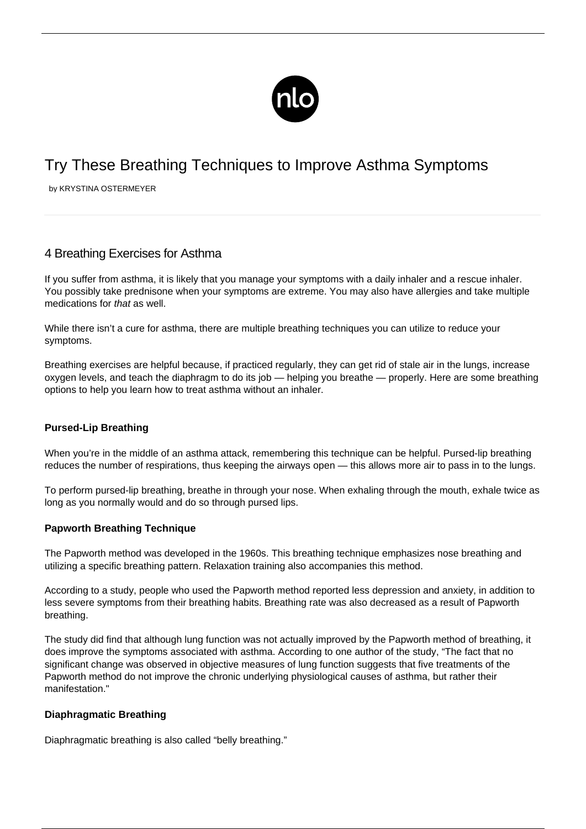

# Try These Breathing Techniques to Improve Asthma Symptoms

by KRYSTINA OSTERMEYER

## 4 Breathing Exercises for Asthma

If you suffer from asthma, it is likely that you manage your symptoms with a daily inhaler and a rescue inhaler. You possibly take prednisone when your symptoms are extreme. You may also have allergies and take multiple medications for that as well.

While there isn't a cure for asthma, there are multiple breathing techniques you can utilize to reduce your symptoms.

Breathing exercises are helpful because, if practiced regularly, they can get rid of stale air in the lungs, increase oxygen levels, and teach the diaphragm to do its job — helping you breathe — properly. Here are some breathing options to help you learn [how to treat asthma without an inhaler](/asthma-attack-no-inhaler/).

### **Pursed-Lip Breathing**

When you're in the middle of an asthma attack, remembering this technique can be helpful. Pursed-lip breathing reduces the number of respirations, thus keeping the airways open — this allows more air to pass in to the lungs.

To perform pursed-lip breathing, breathe in through your nose. When exhaling through the mouth, exhale twice as long as you normally would and do so through pursed lips.

### **Papworth Breathing Technique**

The Papworth method was developed in the 1960s. This breathing technique emphasizes nose breathing and utilizing a specific breathing pattern. Relaxation training also accompanies this method.

According to a study, people who used the Papworth method reported less depression and anxiety, in addition to less severe symptoms from their breathing habits. Breathing rate was also decreased as a result of Papworth breathing.

The study did find that although lung function was not actually improved by the Papworth method of breathing, it does improve the symptoms associated with asthma. According to one author of the study, "The fact that no significant change was observed in objective measures of lung function suggests that five treatments of the Papworth method do not improve the chronic underlying physiological causes of asthma, but rather their manifestation."

### **Diaphragmatic Breathing**

Diaphragmatic breathing is also called "belly breathing."